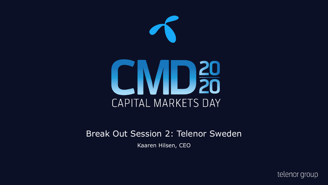

#### Break Out Session 2: Telenor Sweden

Kaaren Hilsen, CEO

telenor group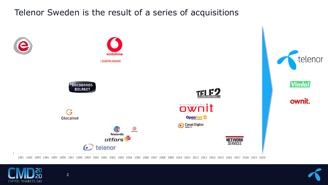## Telenor Sweden is the result of a series of acquisitions



1991 1992 1993 1994 1995 1996 1997 1998 1999 2000 2001 2002 2003 2004 2005 2006 2007 2008 2009 2010 2011 2012 2013 2014 2015 2016 2017 2018 2019 2020

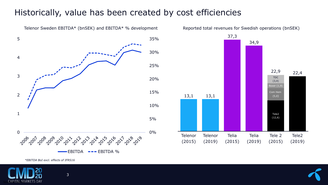#### Historically, value has been created by cost efficiencies



13,1 13,1 34,9 22,4 Telenor (2019) Telenor (2015) Telia (2015) Tele2 (12,6) Telia (2019) Tele2 (2019) Boxer (1,9) TDC (3,4) Com Hem (5,0) Tele 2 (2015) 22,9

Reported total revenues for Swedish operations (bnSEK)

37,3

*\*EBITDA BoI excl. effects of IFRS16*

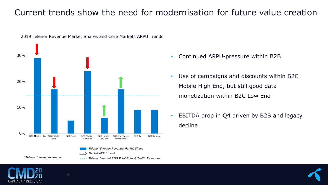### Current trends show the need for modernisation for future value creation



#### 2019 Telenor Revenue Market Shares and Core Markets ARPU Trends

- Continued ARPU-pressure within B2B
- Use of campaigns and discounts within B2C Mobile High End, but still good data monetization within B2C Low End
- EBITDA drop in Q4 driven by B2B and legacy decline

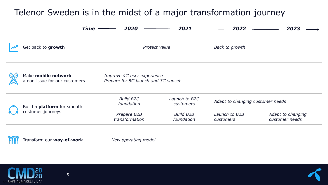# Telenor Sweden is in the midst of a major transformation journey

| Time                                                                                                                      | 2020                           | 2021                           | 2022                             | 2023                                |
|---------------------------------------------------------------------------------------------------------------------------|--------------------------------|--------------------------------|----------------------------------|-------------------------------------|
| Get back to growth                                                                                                        |                                | Protect value                  | <b>Back to growth</b>            |                                     |
| Make mobile network<br>Improve 4G user experience<br>Prepare for 5G launch and 3G sunset<br>a non-issue for our customers |                                |                                |                                  |                                     |
| Build a <b>platform</b> for smooth<br>customer journeys                                                                   | <b>Build B2C</b><br>foundation | Launch to B2C<br>customers     | Adapt to changing customer needs |                                     |
|                                                                                                                           | Prepare B2B<br>transformation  | <b>Build B2B</b><br>foundation | Launch to B2B<br>customers       | Adapt to changing<br>customer needs |

Transform our **way-of-work** *New operating model* MA